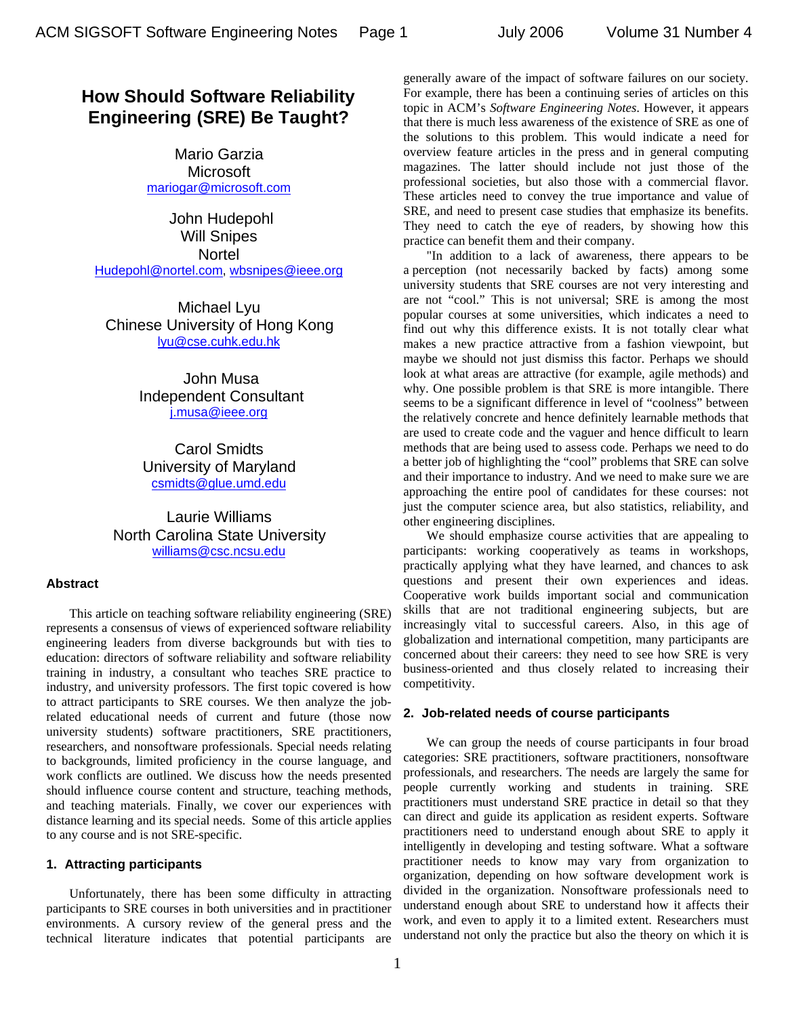# **How Should Software Reliability Engineering (SRE) Be Taught?**

### **Abstract**

This article on teaching software reliability engineering (SRE) represents a consensus of views of experienced software reliability engineering leaders from diverse backgrounds but with ties to education: directors of software reliability and software reliability training in industry, a consultant who teaches SRE practice to industry, and university professors. The first topic covered is how to attract participants to SRE courses. We then analyze the jobrelated educational needs of current and future (those now university students) software practitioners, SRE practitioners, researchers, and nonsoftware professionals. Special needs relating to backgrounds, limited proficiency in the course language, and work conflicts are outlined. We discuss how the needs presented should influence course content and structure, teaching methods, and teaching materials. Finally, we cover our experiences with distance learning and its special needs. Some of this article applies to any course and is not SRE-specific.

Unfortunately, there has been some difficulty in attracting participants to SRE courses in both universities and in practitioner environments. A cursory review of the general press and the technical literature indicates that potential participants are

Mario Garzia overview feature articles in the press and in general computing Microsoft magazines. The latter should include not just those of the magazines. mariogar@microsoft.com processional societies, but also dise with a commercial havor. John Hudepohl SRE, and need to present case studies that emphasize its benefits. They need to catch the eye of readers, by showing how this Will Snipes<br>practice can benefit them and their company. II Shipes<br>
Nortel The addition to a lack of awareness, there appears to be  $\blacksquare$ generally aware of the impact of software failures on our society. For example, there has been a continuing series of articles on this topic in ACM's *Software Engineering Notes*. However, it appears that there is much less awareness of the existence of SRE as one of the solutions to this problem. This would indicate a need for professional societies, but also those with a commercial flavor. These articles need to convey the true importance and value of

Hudepohl@nortel.com, wbsnipes@ieee.org aperception (not necessarily backed by facts) among some Michael Lyu are not cool. This is not universal, SKE is allong the most<br>popular courses at some universities, which indicates a need to Chinese University of Hong Kong<br>
find out why this difference exists. It is not totally clear what lyu@cse.cuhk.edu.hk makes a new practice attractive from a fashion viewpoint, but John Musa look at what areas are attractive (for example, agile methods) and Independent Consultant<br>
seems to be a significant difference in level of "coolness" between j.musa@ieee.org the relatively concrete and hence definitely learnable methods that Carol Smidts **Carol** Smidts **methods** that are being used to assess code. Perhaps we need to do University of Maryland a better job of highlighting the "cool" problems that SRE can solve  $\frac{1}{2}$  csmidts  $\frac{0}{2}$  glue.umd.edu and the same and the importance to mutually. And we need to make sure we are Laurie Williams of the computer service and selling service the service service service service service service service service service service service service service service service service service service service servic university students that SRE courses are not very interesting and are not "cool." This is not universal; SRE is among the most maybe we should not just dismiss this factor. Perhaps we should why. One possible problem is that SRE is more intangible. There are used to create code and the vaguer and hence difficult to learn and their importance to industry. And we need to make sure we are approaching the entire pool of candidates for these courses: not just the computer science area, but also statistics, reliability, and other engineering disciplines.

North Carolina State University **Example 3** We should emphasize course activities that are appealing to williams@csc.ncsu.edu participants: working cooperatively as teams in workshops,<br>practically applying what they have learned, and chances to ask questions and present their own experiences and ideas. Cooperative work builds important social and communication skills that are not traditional engineering subjects, but are increasingly vital to successful careers. Also, in this age of globalization and international competition, many participants are concerned about their careers: they need to see how SRE is very business-oriented and thus closely related to increasing their competitivity.

### **2. Job-related needs of course participants**

to any course and is not SRE-specific. practitioners need to understand enough about SRE to apply it **1. Attracting participants 1. Attracting participants** We can group the needs of course participants in four broad categories: SRE practitioners, software practitioners, nonsoftware professionals, and researchers. The needs are largely the same for people currently working and students in training. SRE practitioners must understand SRE practice in detail so that they can direct and guide its application as resident experts. Software intelligently in developing and testing software. What a software organization, depending on how software development work is divided in the organization. Nonsoftware professionals need to understand enough about SRE to understand how it affects their work, and even to apply it to a limited extent. Researchers must understand not only the practice but also the theory on which it is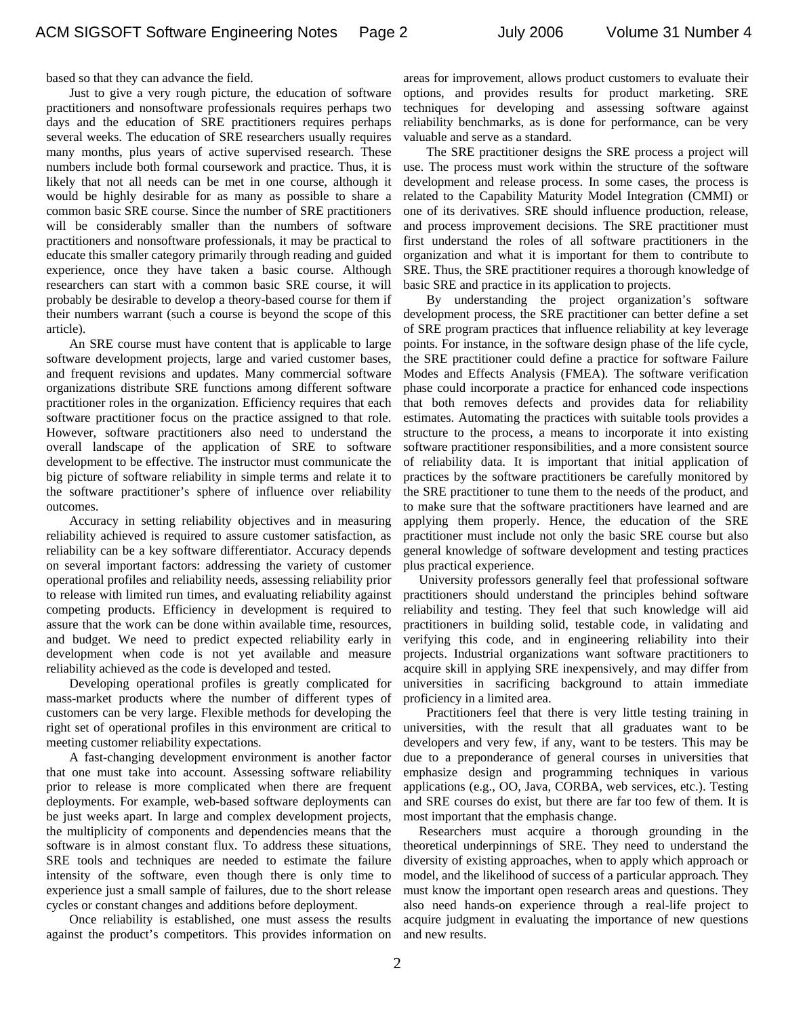several weeks. The education of SRE researchers usually requires many months, plus years of active supervised research. These common basic SRE course. Since the number of SRE practitioners one of its derivatives. SRE should influence production, release, researchers can start with a common basic SRE course, it will

software practitioner focus on the practice assigned to that role. However, software practitioners also need to understand the

on several important factors: addressing the variety of customer operational profiles and reliability needs, assessing reliability prior and budget. We need to predict expected reliability early in

mass-market products where the number of different types of customers can be very large. Flexible methods for developing the

be just weeks apart. In large and complex development projects, the multiplicity of components and dependencies means that the intensity of the software, even though there is only time to experience just a small sample of failures, due to the short release

against the product's competitors. This provides information on and new results.

based so that they can advance the field. areas for improvement, allows product customers to evaluate their Just to give a very rough picture, the education of software options, and provides results for product marketing. SRE practitioners and nonsoftware professionals requires perhaps two techniques for developing and assessing software against days and the education of SRE practitioners requires perhaps reliability benchmarks, as is done for performance, can be very valuable and serve as a standard.

numbers include both formal coursework and practice. Thus, it is use. The process must work within the structure of the software likely that not all needs can be met in one course, although it development and release process. In some cases, the process is would be highly desirable for as many as possible to share a related to the Capability Maturity Model Integration (CMMI) or common basic SRE course. Since the number of SRE practitioners one of its derivatives. SRE should influence production, release, will be considerably smaller than the numbers of software and process improvement decisions. practitioners and nonsoftware professionals, it may be practical to first understand the roles of all software practitioners in the educate this smaller category primarily through reading and guided organization and what it is important for them to contribute to experience, once they have taken a basic course. Although SRE. Thus, the SRE practitioner requires a thorough knowledge of The SRE practitioner designs the SRE process a project will basic SRE and practice in its application to projects.

probably be desirable to develop a theory-based course for them if By understanding the project organization's software their numbers warrant (such a course is beyond the scope of this development process, the SRE practitioner can better define a set article). of SRE program practices that influence reliability at key leverage<br>An SRE course must have content that is applicable to large points. For instance, in the software design phase of the life cycle, software development projects, large and varied customer bases, the SRE practitioner could define a practice for software Failure<br>and frequent revisions and updates. Many commercial software Modes and Effects Analysis (FME organizations distribute SRE functions among different software phase could incorporate a practice for enhanced code inspections practitioner roles in the organization. Efficiency requires that each that both removes defects and provides data for reliability overall landscape of the application of SRE to software software practitioner responsibilities, and a more consistent source development to be effective. The instructor must communicate the of reliability data. It is important that initial application of big picture of software reliability in simple terms and relate it to practices by the software practitioners be carefully monitored by the software practitioner's sphere of influence over reliability the SRE practitioner to tune them to the needs of the product, and outcomes. to make sure that the software practitioners have learned and are Accuracy in setting reliability objectives and in measuring applying them properly. Hence, the education of the SRE reliability achieved is required to assure customer satisfaction, as practitioner must include not only the basic SRE course but also reliability can be a key software differentiator. Accuracy depends general knowledge of software development and testing practices of SRE program practices that influence reliability at key leverage points. For instance, in the software design phase of the life cycle, the SRE practitioner could define a practice for software Failure estimates. Automating the practices with suitable tools provides a structure to the process, a means to incorporate it into existing plus practical experience.

to release with limited run times, and evaluating reliability against practitioners should understand the principles behind software competing products. Efficiency in development is required to reliability and testing. They feel that such knowledge will aid assure that the work can be done within available time, resources, practitioners in building solid, testable code, in validating and development when code is not yet available and measure projects. Industrial organizations want software practitioners to reliability achieved as the code is developed and tested.<br>Developing operational profiles is greatly complicated for universities in sacrificing background to attain immediate University professors generally feel that professional software verifying this code, and in engineering reliability into their universities in sacrificing background to attain immediate proficiency in a limited area.

right set of operational profiles in this environment are critical to universities, with the result that all graduates want to be meeting customer reliability expectations.<br>
A fast-changing development environment is another factor due to a preponderance of general courses in universities that that one must take into account. Assessing software reliability emphasize design and programming techniques in various prior to release is more complicated when there are frequent applications (e.g., OO, Java, CORBA, web services, etc.). Testing deployments. For example, web-based software deployments can and SRE courses do exist, but there are far too few of them. It is Practitioners feel that there is very little testing training in developers and very few, if any, want to be testers. This may be most important that the emphasis change.

software is in almost constant flux. To address these situations, theoretical underpinnings of SRE. They need to understand the<br>SRE tools and techniques are needed to estimate the failure diversity of existing approaches, experience just a small sample of failures, due to the short release must know the important open research areas and questions. They cycles or constant changes and additions before deployment. also need hands-on experience through a real-life project to Once reliability is established, one must assess the results acquire judgment in evaluating the importance of new questions Researchers must acquire a thorough grounding in the theoretical underpinnings of SRE. They need to understand the model, and the likelihood of success of a particular approach. They and new results.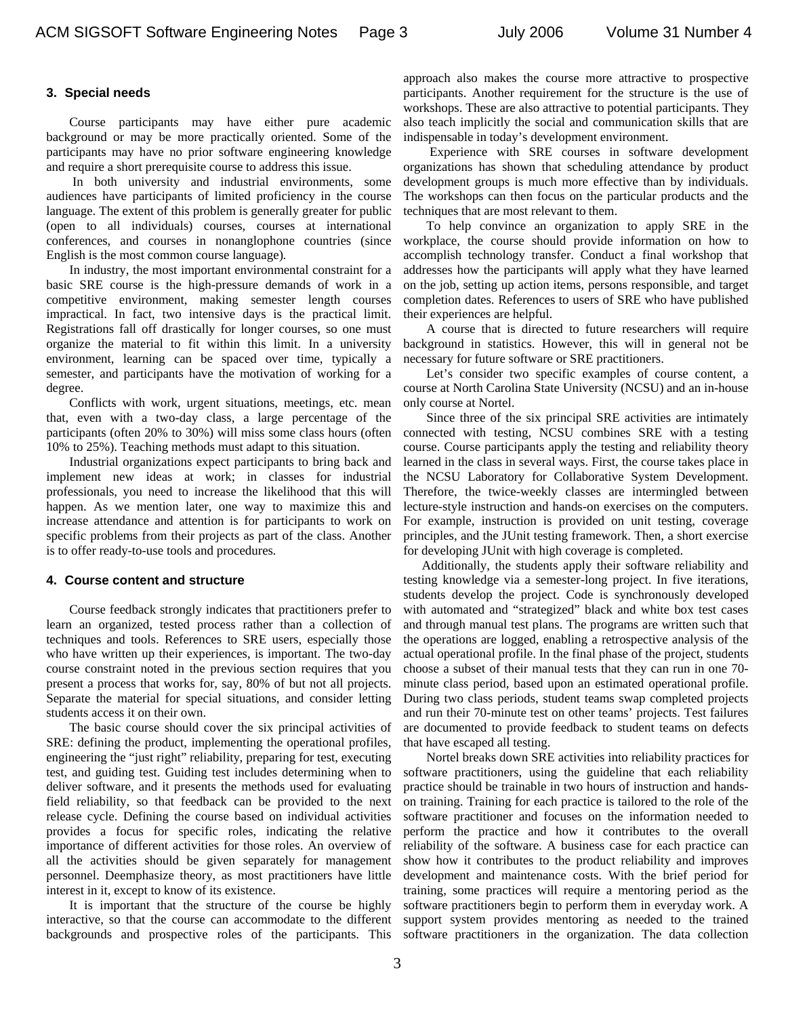Course participants may have either pure academic background or may be more practically oriented. Some of the indispensable in today's development environment. participants may have no prior software engineering knowledge

audiences have participants of limited proficiency in the course language. The extent of this problem is generally greater for public techniques that are most relevant to them. (open to all individuals) courses, courses at international

competitive environment, making semester length courses impractical. In fact, two intensive days is the practical limit. Registrations fall off drastically for longer courses, so one must organize the material to fit within this limit. In a university background in statistics. However, this will in general not be environment, learning can be spaced over time, typically a semester, and participants have the motivation of working for a

Conflicts with work, urgent situations, meetings, etc. mean

implement new ideas at work; in classes for industrial the NCSU Laboratory for Collaborative System Development. professionals, you need to increase the likelihood that this will happen. As we mention later, one way to maximize this and lecture-style instruction and hands-on exercises on the computers. specific problems from their projects as part of the class. Another is to offer ready-to-use tools and procedures. for developing JUnit with high coverage is completed.

course constraint noted in the previous section requires that you

SRE: defining the product, implementing the operational profiles, engineering the "just right" reliability, preparing for test, executing field reliability, so that feedback can be provided to the next release cycle. Defining the course based on individual activities

**3. Special needs 3. Special needs participants**. Another requirement for the structure is the use of approach also makes the course more attractive to prospective workshops. These are also attractive to potential participants. They also teach implicitly the social and communication skills that are indispensable in today's development environment. Experience with SRE courses in software development

and require a short prerequisite course to address this issue. In both university and industrial environments, some development groups is much more effective than by individuals. organizations has shown that scheduling attendance by product The workshops can then focus on the particular products and the

conferences, and courses in nonanglophone countries (since workplace, the course should provide information on how to English is the most common course language). accomplish technology transfer. Conduct a final workshop that In industry, the most important environmental constraint for a addresses how the participants will apply what they basic SRE course is the high-pressure demands of work in a on the job, setting up action items, persons responsible, and target To help convince an organization to apply SRE in the accomplish technology transfer. Conduct a final workshop that completion dates. References to users of SRE who have published their experiences are helpful.

> A course that is directed to future researchers will require necessary for future software or SRE practitioners.

degree. course at North Carolina State University (NCSU) and an in-house Let's consider two specific examples of course content, a only course at Nortel.

that, even with a two-day class, a large percentage of the Since three of the six principal SRE activities are intimately participants (often 20% to 30%) will miss some class hours (often connected with testing, NCSU combines SRE with a testing 10% to 25%). Teaching methods must adapt to this situation. course. Course participants apply the testing and reliability theory Industrial organizations expect participants to bring back and learned in the class in several ways. First, the course takes place in happen. As we mention later, one way to maximize this and lecture-style instruction and hands-on exercises on the computers.<br>increase attendance and attention is for participants to work on For example, instruction is prov the NCSU Laboratory for Collaborative System Development. Therefore, the twice-weekly classes are intermingled between principles, and the JUnit testing framework. Then, a short exercise

**4. Course content and structure** Course feedback strongly indicates that practitioners prefer to with automated and "strategized" black and white box test cases learn an organized, tested process rather than a collection of and through manual test plans. The programs are written such that techniques and tools. References to SRE users, especially those the operations are logged, enabling a retrospective analysis of the who have written up their experiences, is important. The two-day actual operational profile. In the final phase of the project, students present a process that works for, say, 80% of but not all projects. minute class period, based upon an estimated operational profile.<br>Separate the material for special situations, and consider letting During two class peri students access it on their own. and run their 70-minute test on other teams' projects. Test failures The basic course should cover the six principal activities of are documented to provide feedback to student teams on defects Additionally, the students apply their software reliability and students develop the project. Code is synchronously developed choose a subset of their manual tests that they can run in one 70 that have escaped all testing.

test, and guiding test. Guiding test includes determining when to software practitioners, using the guideline that each reliability deliver software, and it presents the methods used for evaluating practice should be trainable in two hours of instruction and hands provides a focus for specific roles, indicating the relative perform the practice and how it contributes to the overall importance of different activities for those roles. An overview of reliability of the software. A business case for each practice can all the activities should be given separately for management show how it contributes to the product reliability and improves personnel. Deemphasize theory, as most practitioners have little development and maintenance costs. With the brief period for interest in it, except to know of its existence. training, some practices will require a mentoring period as the It is important that the structure of the course be highly software practitioners begin to perform them in everyday work. A interactive, so that the course can accommodate to the different support system provides mentoring as needed to the trained backgrounds and prospective roles of the participants. This software practitioners in the organization. The data collection Nortel breaks down SRE activities into reliability practices for on training. Training for each practice is tailored to the role of the software practitioner and focuses on the information needed to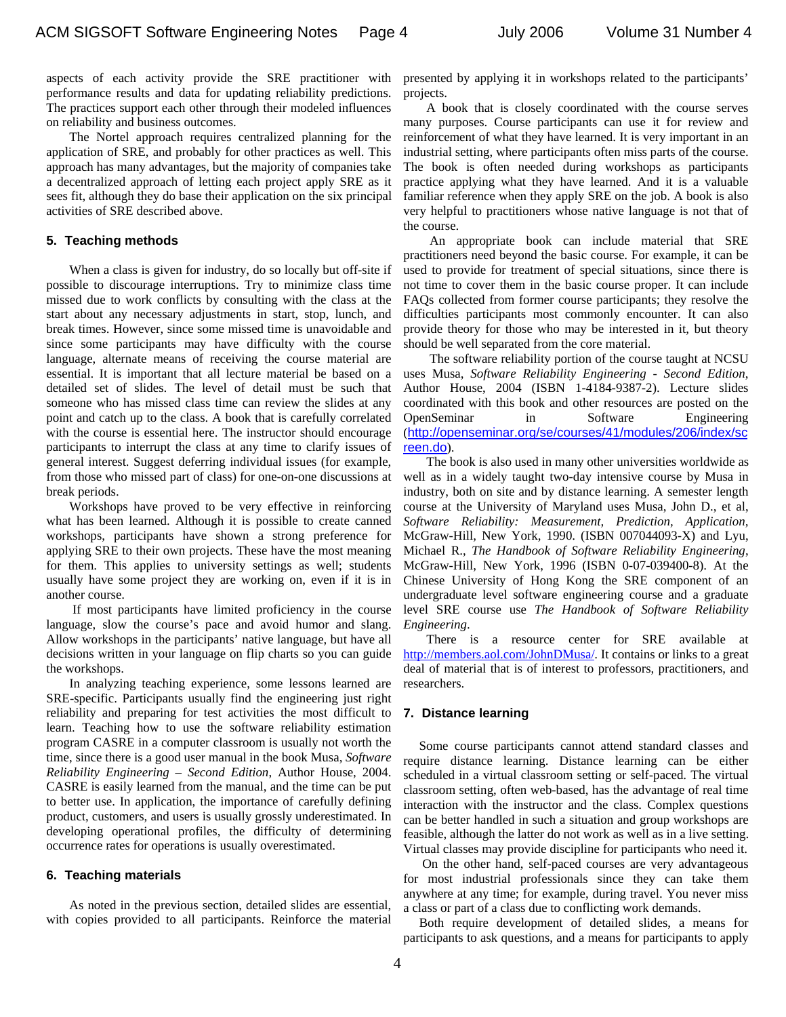aspects of each activity provide the SRE practitioner with performance results and data for updating reliability predictions. projects.<br>The practices support each other through their modeled influences A b on reliability and business outcomes. many pu

The Nortel approach requires centralized planning for the activities of SRE described above.

possible to discourage interruptions. Try to minimize class time missed due to work conflicts by consulting with the class at the FAQs collected from former course participants; they resolve the start about any necessary adjustments in start, stop, lunch, and difficulties participants most commonly encounter. It can also break times. However, since some missed time is unavoidable and provide theory for those who may be interested in it, but theory since some participants may have difficulty with the course should be well separated from the core material. language, alternate means of receiving the course material are The software reliability portion of the course taught at NCSU essential. It is important that all lecture material be based on a uses Musa, Software Reliability Engineering - Second Edition, essential. It is important that all lecture material be based on a uses Musa, *Software Reliability Engineering - Second Edition*,<br>detailed set of slides. The level of detail must be such that Author House, 2004 (ISBN 1-41 someone who has missed class time can review the slides at any coordinated with this book and other resources are posted on the point and catch up to the class. A book that is carefully correlated OpenSeminar in Software Engineering with the course is essential here. The instructor should encourage participants to interrupt the class at any time to clarify issues of reen.do). general interest. Suggest deferring individual issues (for example, from those who missed part of class) for one-on-one discussions at

language, slow the course's pace and avoid humor and slang. *Engineering*. Allow workshops in the participants' native language, but have all There

SRE-specific. Participants usually find the engineering just right reliability and preparing for test activities the most difficult to 7. Distance learning learn. Teaching how to use the software reliability estimation program CASRE in a computer classroom is usually not worth the time, since there is a good user manual in the book Musa, *Software*  to better use. In application, the importance of carefully defining product, customers, and users is usually grossly underestimated. In developing operational profiles, the difficulty of determining occurrence rates for operations is usually overestimated.

presented by applying it in workshops related to the participants' projects.

on reliability and business outcomes. many purposes. Course participants can use it for review and application of SRE, and probably for other practices as well. This industrial setting, where participants often miss parts of the course. approach has many advantages, but the majority of companies take The book is often needed during workshops as participants a decentralized approach of letting each project apply SRE as it practice applying what they have learned. And it is a valuable sees fit, although they do base their application on the six principal familiar reference when they apply SRE on the job. A book is also **5. Teaching methods**<br> **5. Teaching methods** and that SRE An appropriate book can include material that SRE A book that is closely coordinated with the course serves reinforcement of what they have learned. It is very important in an very helpful to practitioners whose native language is not that of

When a class is given for industry, do so locally but off-site if used to provide for treatment of special situations, since there is practitioners need beyond the basic course. For example, it can be not time to cover them in the basic course proper. It can include should be well separated from the core material. The software reliability portion of the course taught at NCSU

OpenSeminar in Software Engineering (http://openseminar.org/se/courses/41/modules/206/index/sc

break periods. industry, both on site and by distance learning. A semester length Workshops have proved to be very effective in reinforcing course at the University of Maryland uses Musa, John D., et al, what has been learned. Although it is possible to create canned *Software Reliability: Measurement, Prediction, Application,* workshops, participants have shown a strong preference for McGraw-Hill, New York, 1990. (ISBN 007044093-X) and Lyu, applying SRE to their own projects. These have the most meaning Michael R., *The Handbook of Software Reliability Engineering*, for them. This applies to university settings as well; students McGraw-Hill, New York, 1996 (I for them. This applies to university settings as well; students McGraw-Hill, New York, 1996 (ISBN 0-07-039400-8). At the usually have some project they are working on, even if it is in Chinese University of Hong Kong the SRE component of an another course.<br>If most participants have limited proficiency in the course level SRE course use The Handbook of Software Reliability The book is also used in many other universities worldwide as well as in a widely taught two-day intensive course by Musa in level SRE course use *The Handbook of Software Reliability* 

decisions written in your language on flip charts so you can guide http://members.aol.com/JohnDMusa/. It contains or links to a great the workshops. deal of material that is of interest to professors, practitioners, and<br>In analyzing teaching experience, some lessons learned are researchers. There is a resource center for SRE available at researchers.

### **7. Distance learning**

*Reliability Engineering* – *Second Edition*, Author House, 2004. scheduled in a virtual classroom setting or self-paced. The virtual CASRE is easily learned from the manual, and the time can be put classroom setting often Some course participants cannot attend standard classes and require distance learning. Distance learning can be either classroom setting, often web-based, has the advantage of real time interaction with the instructor and the class. Complex questions can be better handled in such a situation and group workshops are feasible, although the latter do not work as well as in a live setting.

**6. Teaching materials for most industrial professionals since they can take them** As noted in the previous section, detailed slides are essential,<br>with copies provided to all participants. Reinforce the material Both require development of detailed slides, a means for Virtual classes may provide discipline for participants who need it. On the other hand, self-paced courses are very advantageous a class or part of a class due to conflicting work demands.

Both require development of detailed slides, a means for participants to ask questions, and a means for participants to apply